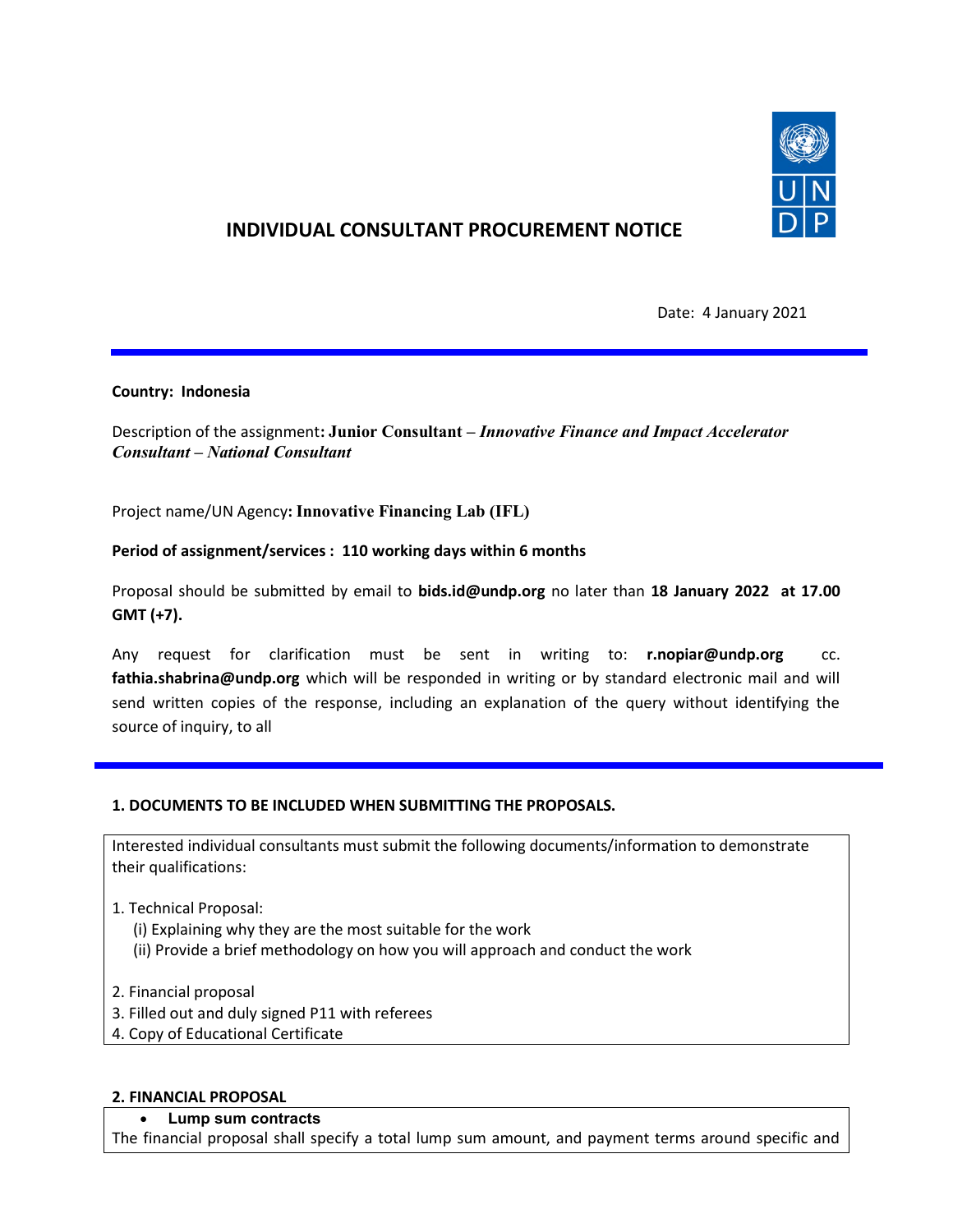

# INDIVIDUAL CONSULTANT PROCUREMENT NOTICE

Date: 4 January 2021

## Country: Indonesia

Description of the assignment: Junior Consultant – Innovative Finance and Impact Accelerator Consultant – National Consultant

Project name/UN Agency: Innovative Financing Lab (IFL)

## Period of assignment/services : 110 working days within 6 months

Proposal should be submitted by email to bids.id@undp.org no later than 18 January 2022 at 17.00 GMT (+7).

Any request for clarification must be sent in writing to: r.nopiar@undp.org cc. fathia.shabrina@undp.org which will be responded in writing or by standard electronic mail and will send written copies of the response, including an explanation of the query without identifying the source of inquiry, to all

## 1. DOCUMENTS TO BE INCLUDED WHEN SUBMITTING THE PROPOSALS.

Interested individual consultants must submit the following documents/information to demonstrate their qualifications:

- 1. Technical Proposal:
	- (i) Explaining why they are the most suitable for the work
	- (ii) Provide a brief methodology on how you will approach and conduct the work
- 2. Financial proposal
- 3. Filled out and duly signed P11 with referees
- 4. Copy of Educational Certificate

#### 2. FINANCIAL PROPOSAL

### Lump sum contracts

The financial proposal shall specify a total lump sum amount, and payment terms around specific and